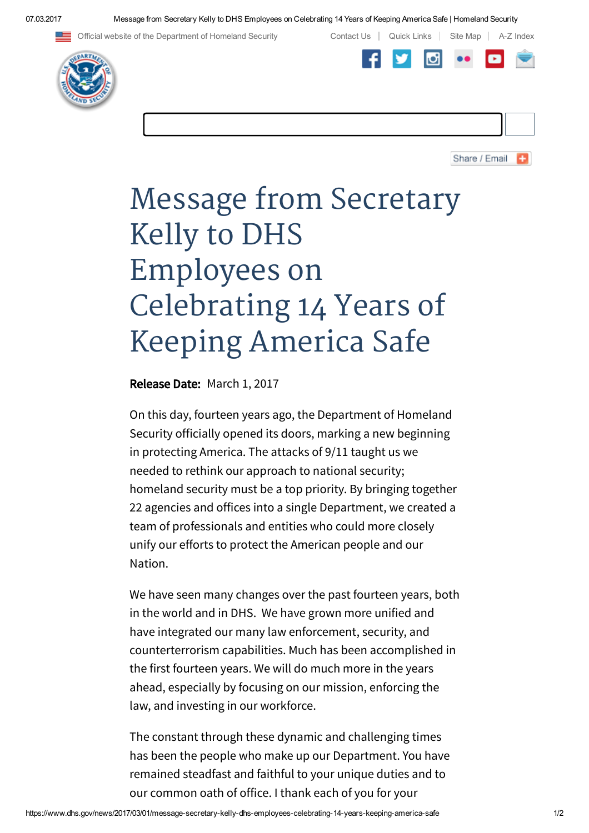07.03.2017 Message from Secretary Kelly to DHS Employees on Celebrating 14 Years of Keeping America Safe | Homeland Security

Official website of the Department of Homeland Security Contact Us | Quick Links | Site Map | A-Z Index





Share / Email

## Message from Secretary Kelly to DHS Employees on Celebrating 14 Years of Keeping America Safe

Release Date: March 1, 2017

On this day, fourteen years ago, the Department of Homeland Security officially opened its doors, marking a new beginning in protecting America. The attacks of 9/11 taught us we needed to rethink our approach to national security; homeland security must be a top priority. By bringing together 22 agencies and offices into a single Department, we created a team of professionals and entities who could more closely unify our efforts to protect the American people and our Nation.

We have seen many changes over the past fourteen years, both in the world and in DHS. We have grown more unified and have integrated our many law enforcement, security, and counterterrorism capabilities. Much has been accomplished in the first fourteen years. We will do much more in the years ahead, especially by focusing on our mission, enforcing the law, and investing in our workforce.

The constant through these dynamic and challenging times has been the people who make up our Department. You have remained steadfast and faithful to your unique duties and to our common oath of office. I thank each of you for your